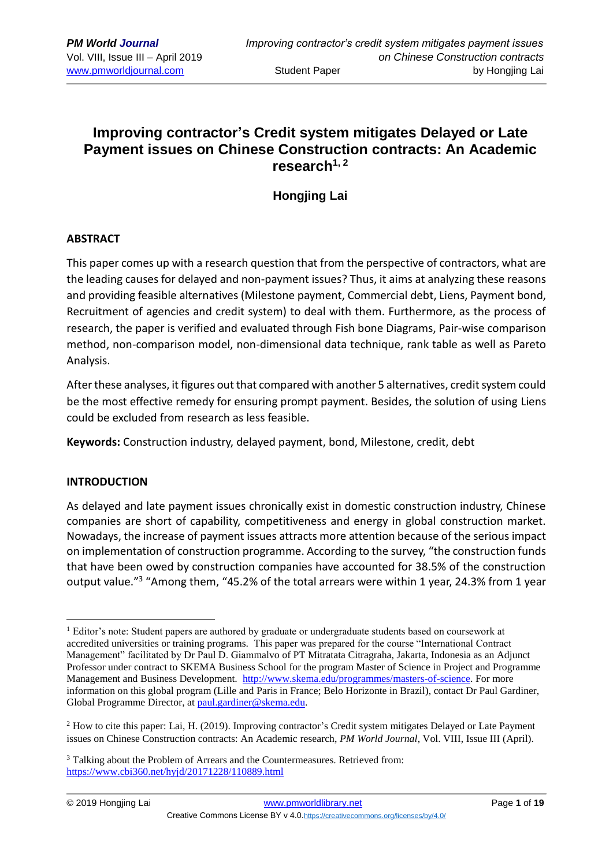# **Improving contractor's Credit system mitigates Delayed or Late Payment issues on Chinese Construction contracts: An Academic research1, 2**

# **Hongjing Lai**

#### **ABSTRACT**

This paper comes up with a research question that from the perspective of contractors, what are the leading causes for delayed and non-payment issues? Thus, it aims at analyzing these reasons and providing feasible alternatives (Milestone payment, Commercial debt, Liens, Payment bond, Recruitment of agencies and credit system) to deal with them. Furthermore, as the process of research, the paper is verified and evaluated through Fish bone Diagrams, Pair-wise comparison method, non-comparison model, non-dimensional data technique, rank table as well as Pareto Analysis.

After these analyses, it figures out that compared with another 5 alternatives, credit system could be the most effective remedy for ensuring prompt payment. Besides, the solution of using Liens could be excluded from research as less feasible.

**Keywords:** Construction industry, delayed payment, bond, Milestone, credit, debt

## **INTRODUCTION**

<u>.</u>

As delayed and late payment issues chronically exist in domestic construction industry, Chinese companies are short of capability, competitiveness and energy in global construction market. Nowadays, the increase of payment issues attracts more attention because of the serious impact on implementation of construction programme. According to the survey, "the construction funds that have been owed by construction companies have accounted for 38.5% of the construction output value."<sup>3</sup> "Among them, "45.2% of the total arrears were within 1 year, 24.3% from 1 year

<sup>&</sup>lt;sup>1</sup> Editor's note: Student papers are authored by graduate or undergraduate students based on coursework at accredited universities or training programs. This paper was prepared for the course "International Contract Management" facilitated by Dr Paul D. Giammalvo of PT Mitratata Citragraha, Jakarta, Indonesia as an Adjunct Professor under contract to SKEMA Business School for the program Master of Science in Project and Programme Management and Business Development. [http://www.skema.edu/programmes/masters-of-science.](http://www.skema.edu/programmes/masters-of-science) For more information on this global program (Lille and Paris in France; Belo Horizonte in Brazil), contact Dr Paul Gardiner, Global Programme Director, a[t paul.gardiner@skema.edu.](mailto:paul.gardiner@skema.edu)

<sup>2</sup> How to cite this paper: Lai, H. (2019). Improving contractor's Credit system mitigates Delayed or Late Payment issues on Chinese Construction contracts: An Academic research, *PM World Journal*, Vol. VIII, Issue III (April).

<sup>&</sup>lt;sup>3</sup> Talking about the Problem of Arrears and the Countermeasures. Retrieved from: <https://www.cbi360.net/hyjd/20171228/110889.html>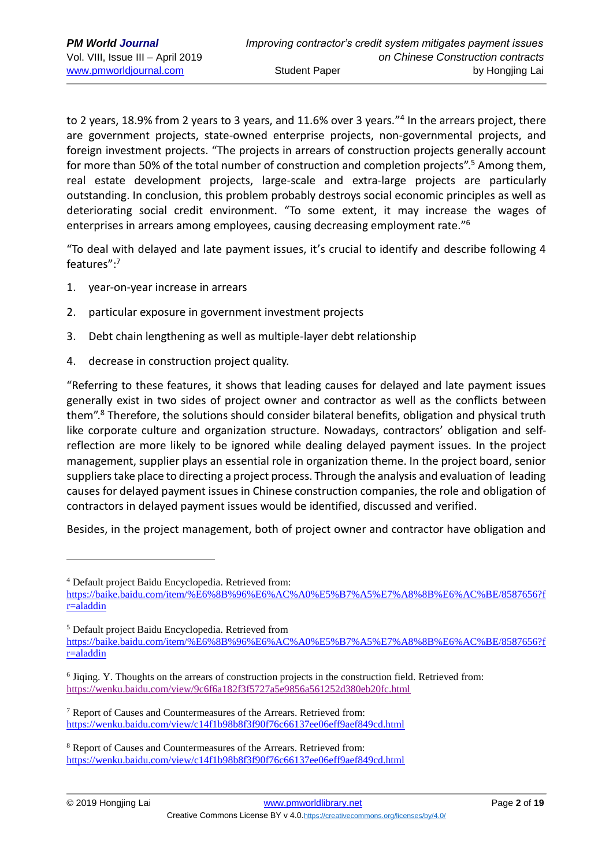to 2 years, 18.9% from 2 years to 3 years, and 11.6% over 3 years."<sup>4</sup> In the arrears project, there are government projects, state-owned enterprise projects, non-governmental projects, and foreign investment projects. "The projects in arrears of construction projects generally account for more than 50% of the total number of construction and completion projects".<sup>5</sup> Among them, real estate development projects, large-scale and extra-large projects are particularly outstanding. In conclusion, this problem probably destroys social economic principles as well as deteriorating social credit environment. "To some extent, it may increase the wages of enterprises in arrears among employees, causing decreasing employment rate."<sup>6</sup>

"To deal with delayed and late payment issues, it's crucial to identify and describe following 4 features": 7

- 1. year-on-year increase in arrears
- 2. particular exposure in government investment projects
- 3. Debt chain lengthening as well as multiple-layer debt relationship
- 4. decrease in construction project quality.

"Referring to these features, it shows that leading causes for delayed and late payment issues generally exist in two sides of project owner and contractor as well as the conflicts between them". <sup>8</sup> Therefore, the solutions should consider bilateral benefits, obligation and physical truth like corporate culture and organization structure. Nowadays, contractors' obligation and selfreflection are more likely to be ignored while dealing delayed payment issues. In the project management, supplier plays an essential role in organization theme. In the project board, senior suppliers take place to directing a project process. Through the analysis and evaluation of leading causes for delayed payment issues in Chinese construction companies, the role and obligation of contractors in delayed payment issues would be identified, discussed and verified.

Besides, in the project management, both of project owner and contractor have obligation and

<sup>4</sup> Default project Baidu Encyclopedia. Retrieved from:

[https://baike.baidu.com/item/%E6%8B%96%E6%AC%A0%E5%B7%A5%E7%A8%8B%E6%AC%BE/8587656?f](https://baike.baidu.com/item/%E6%8B%96%E6%AC%A0%E5%B7%A5%E7%A8%8B%E6%AC%BE/8587656?fr=aladdin) [r=aladdin](https://baike.baidu.com/item/%E6%8B%96%E6%AC%A0%E5%B7%A5%E7%A8%8B%E6%AC%BE/8587656?fr=aladdin)

<sup>5</sup> Default project Baidu Encyclopedia. Retrieved from [https://baike.baidu.com/item/%E6%8B%96%E6%AC%A0%E5%B7%A5%E7%A8%8B%E6%AC%BE/8587656?f](https://baike.baidu.com/item/%E6%8B%96%E6%AC%A0%E5%B7%A5%E7%A8%8B%E6%AC%BE/8587656?fr=aladdin) [r=aladdin](https://baike.baidu.com/item/%E6%8B%96%E6%AC%A0%E5%B7%A5%E7%A8%8B%E6%AC%BE/8587656?fr=aladdin)

<sup>&</sup>lt;sup>6</sup> Jiqing. Y. Thoughts on the arrears of construction projects in the construction field. Retrieved from: <https://wenku.baidu.com/view/9c6f6a182f3f5727a5e9856a561252d380eb20fc.html>

<sup>7</sup> Report of Causes and Countermeasures of the Arrears. Retrieved from: <https://wenku.baidu.com/view/c14f1b98b8f3f90f76c66137ee06eff9aef849cd.html>

<sup>8</sup> Report of Causes and Countermeasures of the Arrears. Retrieved from: <https://wenku.baidu.com/view/c14f1b98b8f3f90f76c66137ee06eff9aef849cd.html>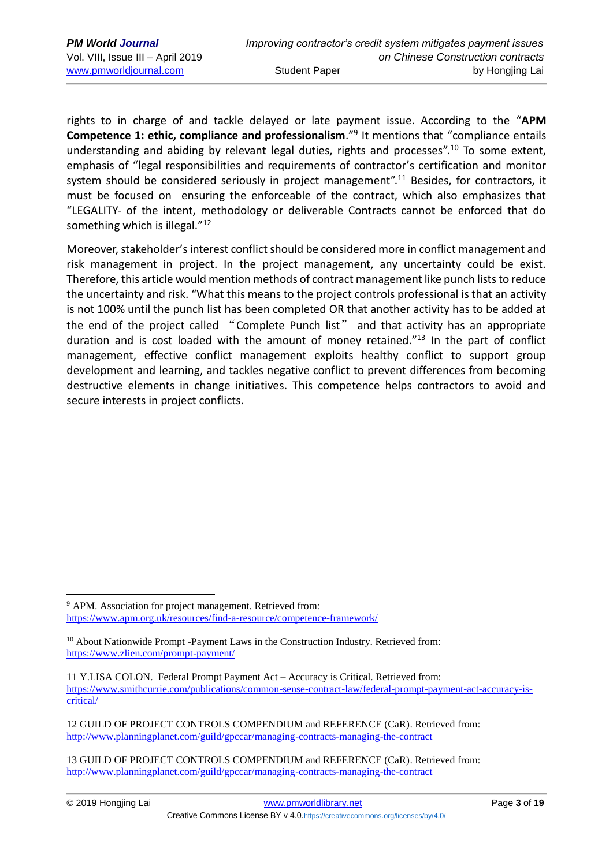rights to in charge of and tackle delayed or late payment issue. According to the "**APM Competence 1: ethic, compliance and professionalism**." 9 It mentions that "compliance entails understanding and abiding by relevant legal duties, rights and processes".<sup>10</sup> To some extent, emphasis of "legal responsibilities and requirements of contractor's certification and monitor system should be considered seriously in project management".<sup>11</sup> Besides, for contractors, it must be focused on ensuring the enforceable of the contract, which also emphasizes that "LEGALITY- of the intent, methodology or deliverable Contracts cannot be enforced that do something which is illegal."<sup>12</sup>

Moreover, stakeholder's interest conflict should be considered more in conflict management and risk management in project. In the project management, any uncertainty could be exist. Therefore, this article would mention methods of contract management like punch lists to reduce the uncertainty and risk. "What this means to the project controls professional is that an activity is not 100% until the punch list has been completed OR that another activity has to be added at the end of the project called "Complete Punch list" and that activity has an appropriate duration and is cost loaded with the amount of money retained."<sup>13</sup> In the part of conflict management, effective conflict management exploits healthy conflict to support group development and learning, and tackles negative conflict to prevent differences from becoming destructive elements in change initiatives. This competence helps contractors to avoid and secure interests in project conflicts.

<sup>&</sup>lt;sup>9</sup> APM. Association for project management. Retrieved from: <https://www.apm.org.uk/resources/find-a-resource/competence-framework/>

<sup>&</sup>lt;sup>10</sup> About Nationwide Prompt -Payment Laws in the Construction Industry. Retrieved from: <https://www.zlien.com/prompt-payment/>

<sup>11</sup> Y.LISA COLON. Federal Prompt Payment Act – Accuracy is Critical. Retrieved from: [https://www.smithcurrie.com/publications/common-sense-contract-law/federal-prompt-payment-act-accuracy-is](https://www.smithcurrie.com/publications/common-sense-contract-law/federal-prompt-payment-act-accuracy-is-critical/)[critical/](https://www.smithcurrie.com/publications/common-sense-contract-law/federal-prompt-payment-act-accuracy-is-critical/)

<sup>12</sup> GUILD OF PROJECT CONTROLS COMPENDIUM and REFERENCE (CaR). Retrieved from: <http://www.planningplanet.com/guild/gpccar/managing-contracts-managing-the-contract>

<sup>13</sup> GUILD OF PROJECT CONTROLS COMPENDIUM and REFERENCE (CaR). Retrieved from: <http://www.planningplanet.com/guild/gpccar/managing-contracts-managing-the-contract>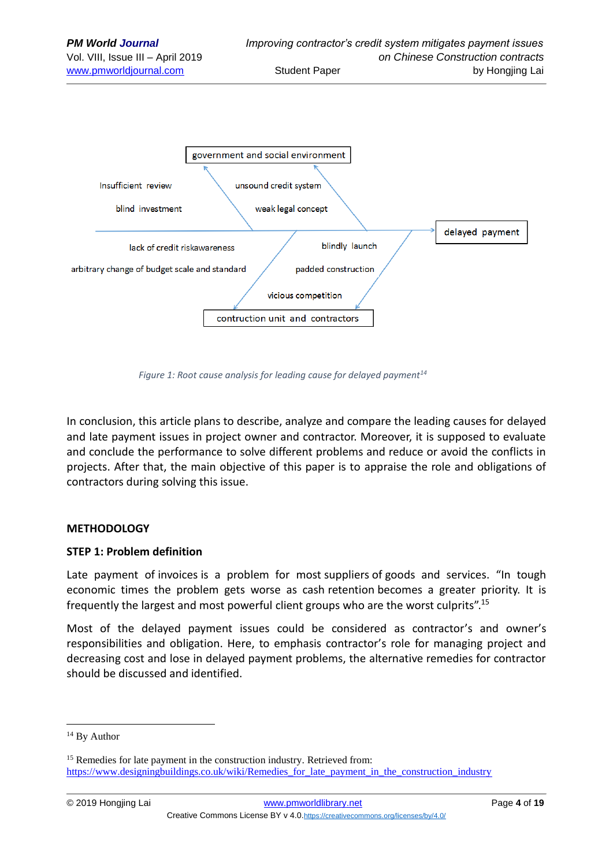

*Figure 1: Root cause analysis for leading cause for delayed payment<sup>14</sup>*

In conclusion, this article plans to describe, analyze and compare the leading causes for delayed and late payment issues in project owner and contractor. Moreover, it is supposed to evaluate and conclude the performance to solve different problems and reduce or avoid the conflicts in projects. After that, the main objective of this paper is to appraise the role and obligations of contractors during solving this issue.

## **METHODOLOGY**

#### **STEP 1: Problem definition**

Late payment of [invoices](https://www.designingbuildings.co.uk/wiki/Invoice) is a problem for most [suppliers](https://www.designingbuildings.co.uk/wiki/Supplier) of [goods and services.](https://www.designingbuildings.co.uk/wiki/Goods_and_services) "In tough economic times the problem gets worse as cash [retention](https://www.designingbuildings.co.uk/wiki/Retention) becomes a greater priority. It is frequently the largest and most powerful [client](https://www.designingbuildings.co.uk/wiki/Clients) groups who are the worst culprits".<sup>15</sup>

Most of the delayed payment issues could be considered as contractor's and owner's responsibilities and obligation. Here, to emphasis contractor's role for managing project and decreasing cost and lose in delayed payment problems, the alternative remedies for contractor should be discussed and identified.

<sup>&</sup>lt;sup>14</sup> By Author

<sup>&</sup>lt;sup>15</sup> Remedies for late payment in the construction industry. Retrieved from: https://www.designingbuildings.co.uk/wiki/Remedies for late payment in the construction industry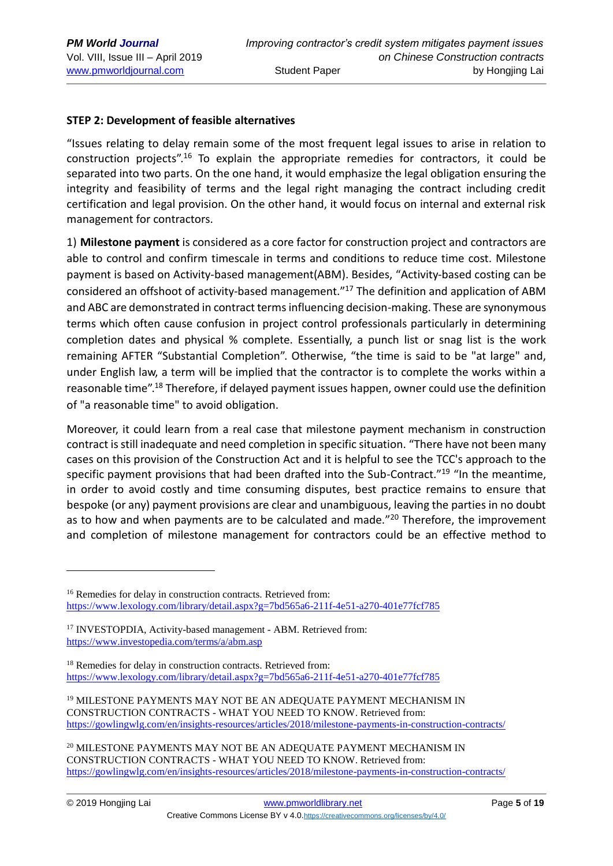### **STEP 2: Development of feasible alternatives**

"Issues relating to delay remain some of the most frequent legal issues to arise in relation to construction projects".<sup>16</sup> To explain the appropriate remedies for contractors, it could be separated into two parts. On the one hand, it would emphasize the legal obligation ensuring the integrity and feasibility of terms and the legal right managing the contract including credit certification and legal provision. On the other hand, it would focus on internal and external risk management for contractors.

1) **Milestone payment** is considered as a core factor for construction project and contractors are able to control and confirm timescale in terms and conditions to reduce time cost. Milestone payment is based on Activity-based management(ABM). Besides, "Activity-based costing can be considered an offshoot of activity-based management." <sup>17</sup> The definition and application of ABM and ABC are demonstrated in contract terms influencing decision-making. These are synonymous terms which often cause confusion in project control professionals particularly in determining completion dates and physical % complete. Essentially, a punch list or snag list is the work remaining AFTER "Substantial Completion". Otherwise, "the time is said to be "at large" and, under English law, a term will be implied that the contractor is to complete the works within a reasonable time".<sup>18</sup> Therefore, if delayed payment issues happen, owner could use the definition of "a reasonable time" to avoid obligation.

Moreover, it could learn from a real case that milestone payment mechanism in construction contract is still inadequate and need completion in specific situation. "There have not been many cases on this provision of the Construction Act and it is helpful to see the TCC's approach to the specific payment provisions that had been drafted into the Sub-Contract."<sup>19</sup> "In the meantime, in order to avoid costly and time consuming disputes, best practice remains to ensure that bespoke (or any) payment provisions are clear and unambiguous, leaving the parties in no doubt as to how and when payments are to be calculated and made."<sup>20</sup> Therefore, the improvement and completion of milestone management for contractors could be an effective method to

<sup>20</sup> MILESTONE PAYMENTS MAY NOT BE AN ADEQUATE PAYMENT MECHANISM IN CONSTRUCTION CONTRACTS - WHAT YOU NEED TO KNOW. Retrieved from: <https://gowlingwlg.com/en/insights-resources/articles/2018/milestone-payments-in-construction-contracts/>

<sup>&</sup>lt;sup>16</sup> Remedies for delay in construction contracts. Retrieved from: <https://www.lexology.com/library/detail.aspx?g=7bd565a6-211f-4e51-a270-401e77fcf785>

<sup>&</sup>lt;sup>17</sup> INVESTOPDIA, Activity-based management - ABM. Retrieved from: <https://www.investopedia.com/terms/a/abm.asp>

<sup>&</sup>lt;sup>18</sup> Remedies for delay in construction contracts. Retrieved from: <https://www.lexology.com/library/detail.aspx?g=7bd565a6-211f-4e51-a270-401e77fcf785>

<sup>19</sup> MILESTONE PAYMENTS MAY NOT BE AN ADEQUATE PAYMENT MECHANISM IN CONSTRUCTION CONTRACTS - WHAT YOU NEED TO KNOW. Retrieved from: <https://gowlingwlg.com/en/insights-resources/articles/2018/milestone-payments-in-construction-contracts/>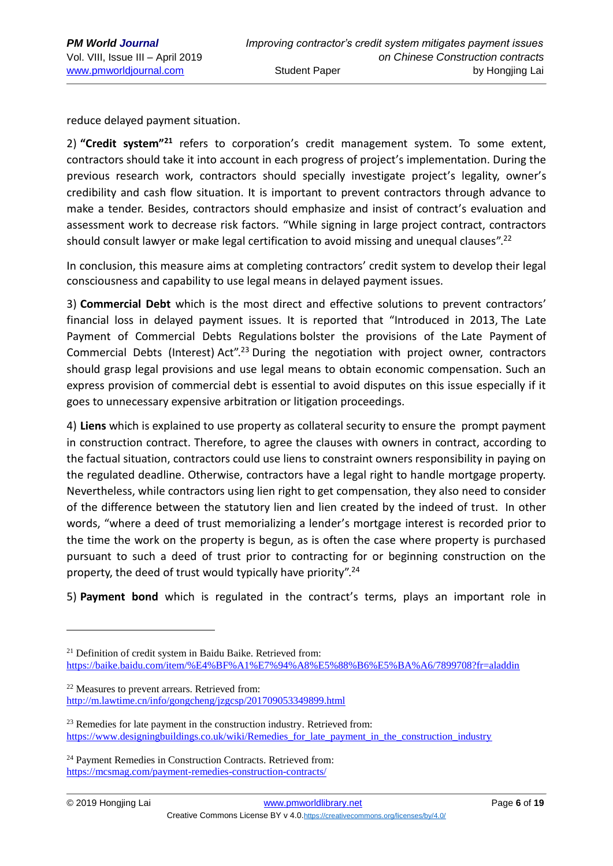reduce delayed payment situation.

2) "Credit system<sup>"21</sup> refers to corporation's credit management system. To some extent, contractors should take it into account in each progress of project's implementation. During the previous research work, contractors should specially investigate project's legality, owner's credibility and cash flow situation. It is important to prevent contractors through advance to make a tender. Besides, contractors should emphasize and insist of contract's evaluation and assessment work to decrease risk factors. "While signing in large project contract, contractors should consult lawyer or make legal certification to avoid missing and unequal clauses".<sup>22</sup>

In conclusion, this measure aims at completing contractors' credit system to develop their legal consciousness and capability to use legal means in delayed payment issues.

3) **Commercial Debt** which is the most direct and effective solutions to prevent contractors' financial loss in delayed payment issues. It is reported that "Introduced in 2013, [The Late](https://www.designingbuildings.co.uk/wiki/The_Late_Payment_of_Commercial_Debts_Regulations)  [Payment of Commercial Debts Regulations](https://www.designingbuildings.co.uk/wiki/The_Late_Payment_of_Commercial_Debts_Regulations) bolster the provisions of the [Late Payment](https://www.designingbuildings.co.uk/wiki/Late_payment) of Commercial Debts (Interest) [Act"](https://www.designingbuildings.co.uk/wiki/Act).<sup>23</sup> During the negotiation with project owner, contractors should grasp legal provisions and use legal means to obtain economic compensation. Such an express provision of commercial debt is essential to avoid disputes on this issue especially if it goes to unnecessary expensive arbitration or litigation proceedings.

4) **Liens** which is explained to use property as collateral security to ensure the prompt payment in construction contract. Therefore, to agree the clauses with owners in contract, according to the factual situation, contractors could use liens to constraint owners responsibility in paying on the regulated deadline. Otherwise, contractors have a legal right to handle mortgage property. Nevertheless, while contractors using lien right to get compensation, they also need to consider of the difference between the statutory lien and lien created by the indeed of trust. In other words, "where a deed of trust memorializing a lender's mortgage interest is recorded prior to the time the work on the property is begun, as is often the case where property is purchased pursuant to such a deed of trust prior to contracting for or beginning construction on the property, the deed of trust would typically have priority".<sup>24</sup>

5) **Payment bond** which is regulated in the contract's terms, plays an important role in

<sup>&</sup>lt;sup>21</sup> Definition of credit system in Baidu Baike. Retrieved from: <https://baike.baidu.com/item/%E4%BF%A1%E7%94%A8%E5%88%B6%E5%BA%A6/7899708?fr=aladdin>

<sup>22</sup> Measures to prevent arrears. Retrieved from: <http://m.lawtime.cn/info/gongcheng/jzgcsp/201709053349899.html>

 $23$  Remedies for late payment in the construction industry. Retrieved from: https://www.designingbuildings.co.uk/wiki/Remedies for late payment in the construction industry

<sup>&</sup>lt;sup>24</sup> Payment Remedies in Construction Contracts. Retrieved from: <https://mcsmag.com/payment-remedies-construction-contracts/>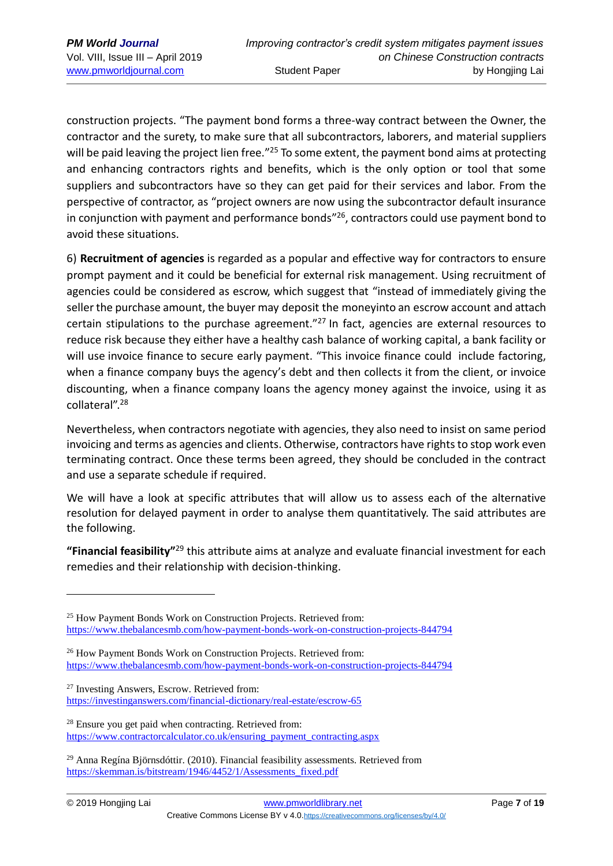construction projects. "The payment bond forms a three-way contract between the Owner, the contractor and the surety, to make sure that all subcontractors, laborers, and material suppliers will be paid leaving the project lien free."<sup>25</sup> To some extent, the payment bond aims at protecting and enhancing contractors rights and benefits, which is the only option or tool that some suppliers and subcontractors have so they can get paid for their services and labor. From the perspective of contractor, as "project owners are now using the subcontractor default insurance in conjunction with payment and performance bonds<sup>"26</sup>, contractors could use payment bond to avoid these situations.

6) **Recruitment of agencies** is regarded as a popular and effective way for contractors to ensure prompt payment and it could be beneficial for external risk management. Using recruitment of agencies could be considered as escrow, which suggest that "instead of immediately giving the seller the purchase amount, the buyer may [deposit](https://investinganswers.com/node/5251) the [moneyi](https://investinganswers.com/node/5074)nto an escrow account and attach certain stipulations to the purchase agreement."<sup>27</sup> In fact, agencies are external resources to reduce risk because they either have a healthy cash balance of working capital, a bank facility or will use [invoice finance](https://www.gov.uk/business-finance-explained/invoice-financing) to secure early payment. "This invoice finance could include factoring, when a finance company buys the agency's debt and then collects it from the client, or invoice discounting, when a finance company loans the agency money against the invoice, using it as collateral". 28

Nevertheless, when contractors negotiate with agencies, they also need to insist on same period invoicing and terms as agencies and clients. Otherwise, contractors have rights to stop work even terminating contract. Once these terms been agreed, they should be concluded in the contract and use a separate schedule if required.

We will have a look at specific attributes that will allow us to assess each of the alternative resolution for delayed payment in order to analyse them quantitatively. The said attributes are the following.

"Financial feasibility"<sup>29</sup> this attribute aims at analyze and evaluate financial investment for each remedies and their relationship with decision-thinking.

<sup>27</sup> Investing Answers, Escrow. Retrieved from: <https://investinganswers.com/financial-dictionary/real-estate/escrow-65>

<sup>&</sup>lt;sup>25</sup> How Payment Bonds Work on Construction Projects. Retrieved from: <https://www.thebalancesmb.com/how-payment-bonds-work-on-construction-projects-844794>

<sup>&</sup>lt;sup>26</sup> How Payment Bonds Work on Construction Projects. Retrieved from: <https://www.thebalancesmb.com/how-payment-bonds-work-on-construction-projects-844794>

<sup>&</sup>lt;sup>28</sup> Ensure you get paid when contracting. Retrieved from: [https://www.contractorcalculator.co.uk/ensuring\\_payment\\_contracting.aspx](https://www.contractorcalculator.co.uk/ensuring_payment_contracting.aspx)

 $29$  Anna Regína Björnsdóttir. (2010). Financial feasibility assessments. Retrieved from [https://skemman.is/bitstream/1946/4452/1/Assessments\\_fixed.pdf](https://skemman.is/bitstream/1946/4452/1/Assessments_fixed.pdf)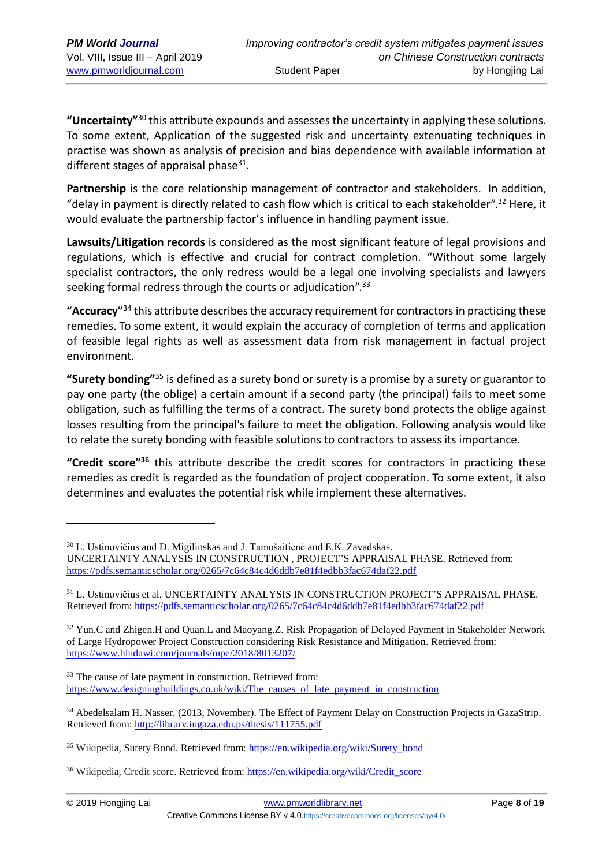**"Uncertainty"** <sup>30</sup> this attribute expounds and assesses the uncertainty in applying these solutions. To some extent, Application of the suggested risk and uncertainty extenuating techniques in practise was shown as analysis of precision and bias dependence with available information at different stages of appraisal phase $31$ .

**Partnership** is the core relationship management of contractor and stakeholders. In addition, "delay in payment is directly related to cash flow which is critical to each stakeholder". <sup>32</sup> Here, it would evaluate the partnership factor's influence in handling payment issue.

**Lawsuits/Litigation records** is considered as the most significant feature of legal provisions and regulations, which is effective and crucial for contract completion. "Without some largely specialist contractors, the only redress would be a legal one involving specialists and lawyers seeking formal redress through the courts or adjudication".<sup>33</sup>

**"Accuracy"** <sup>34</sup> this attribute describes the accuracy requirement for contractors in practicing these remedies. To some extent, it would explain the accuracy of completion of terms and application of feasible legal rights as well as assessment data from risk management in factual project environment.

**"Surety bonding"** <sup>35</sup> is defined as a surety bond or [surety](https://en.wikipedia.org/wiki/Surety) is a promise by a surety or guarantor to pay one party (the oblige) a certain amount if a second party (the principal) fails to meet some obligation, such as fulfilling the terms of a contract. The surety bond protects the oblige against losses resulting from the principal's failure to meet the obligation. Following analysis would like to relate the surety bonding with feasible solutions to contractors to assess its importance.

**"Credit score" <sup>36</sup>** this attribute describe the credit scores for contractors in practicing these remedies as credit is regarded as the foundation of project cooperation. To some extent, it also determines and evaluates the potential risk while implement these alternatives.

<sup>33</sup> The cause of late payment in construction. Retrieved from: [https://www.designingbuildings.co.uk/wiki/The\\_causes\\_of\\_late\\_payment\\_in\\_construction](https://www.designingbuildings.co.uk/wiki/The_causes_of_late_payment_in_construction)

<u>.</u>

<sup>&</sup>lt;sup>30</sup> L. Ustinovičius and D. Migilinskas and J. Tamošaitienė and E.K. Zavadskas.

UNCERTAINTY ANALYSIS IN CONSTRUCTION , PROJECT'S APPRAISAL PHASE. Retrieved from: <https://pdfs.semanticscholar.org/0265/7c64c84c4d6ddb7e81f4edbb3fac674daf22.pdf>

<sup>31</sup> L. Ustinovičius et al. UNCERTAINTY ANALYSIS IN CONSTRUCTION PROJECT'S APPRAISAL PHASE. Retrieved from: <https://pdfs.semanticscholar.org/0265/7c64c84c4d6ddb7e81f4edbb3fac674daf22.pdf>

<sup>&</sup>lt;sup>32</sup> Yun.C and Zhigen.H and Quan.L and Maoyang.Z. Risk Propagation of Delayed Payment in Stakeholder Network of Large Hydropower Project Construction considering Risk Resistance and Mitigation. Retrieved from: <https://www.hindawi.com/journals/mpe/2018/8013207/>

<sup>&</sup>lt;sup>34</sup> Abedelsalam H. Nasser. (2013, November). The Effect of Payment Delay on Construction Projects in GazaStrip. Retrieved from: <http://library.iugaza.edu.ps/thesis/111755.pdf>

<sup>&</sup>lt;sup>35</sup> Wikipedia, Surety Bond. Retrieved from: [https://en.wikipedia.org/wiki/Surety\\_bond](https://en.wikipedia.org/wiki/Surety_bond)

<sup>&</sup>lt;sup>36</sup> Wikipedia, Credit score. Retrieved from: [https://en.wikipedia.org/wiki/Credit\\_score](https://en.wikipedia.org/wiki/Credit_score)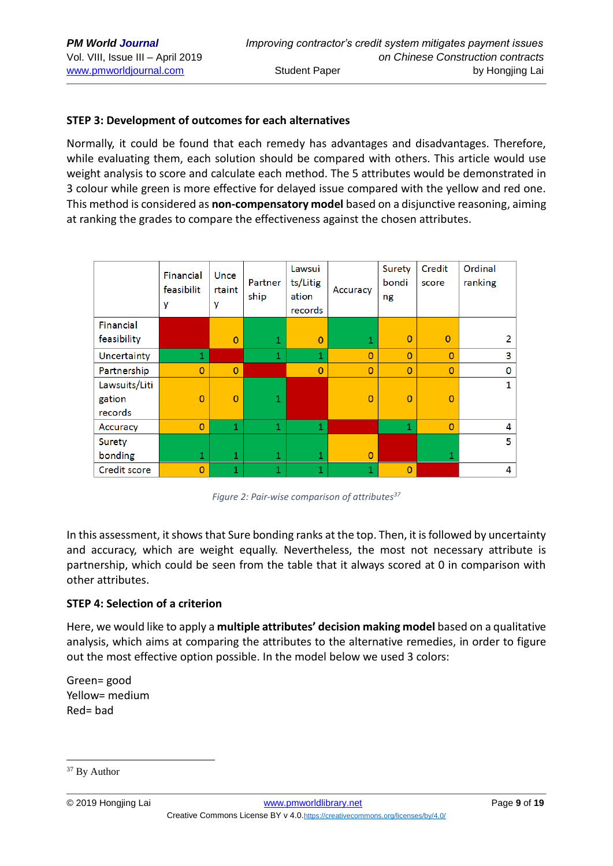#### **STEP 3: Development of outcomes for each alternatives**

Normally, it could be found that each remedy has advantages and disadvantages. Therefore, while evaluating them, each solution should be compared with others. This article would use weight analysis to score and calculate each method. The 5 attributes would be demonstrated in 3 colour while green is more effective for delayed issue compared with the yellow and red one. This method is considered as **non-compensatory model** based on a disjunctive reasoning, aiming at ranking the grades to compare the effectiveness against the chosen attributes.

|               | Financial<br>feasibilit<br>y | Unce<br>rtaint<br>y | Partner<br>ship | Lawsui<br>ts/Litig<br>ation<br>records | Accuracy       | Surety<br>bondi<br>ng | Credit<br>score | Ordinal<br>ranking |
|---------------|------------------------------|---------------------|-----------------|----------------------------------------|----------------|-----------------------|-----------------|--------------------|
| Financial     |                              |                     |                 |                                        |                |                       |                 |                    |
| feasibility   |                              | $\Omega$            | $\mathbf 1$     | $\overline{0}$                         | 1              | $\Omega$              | $\overline{0}$  | 2                  |
| Uncertainty   | 1                            |                     | 1               | 1                                      | $\Omega$       | $\Omega$              | $\Omega$        | 3                  |
| Partnership   | $\Omega$                     | $\Omega$            |                 | $\overline{0}$                         | $\Omega$       | $\Omega$              | $\Omega$        | 0                  |
| Lawsuits/Liti |                              |                     |                 |                                        |                |                       |                 | 1                  |
| gation        | $\overline{0}$               | $\overline{0}$      | 1               |                                        | $\overline{0}$ | $\overline{0}$        | $\overline{0}$  |                    |
| records       |                              |                     |                 |                                        |                |                       |                 |                    |
| Accuracy      | $\overline{0}$               | 1                   | 1               | 1                                      |                | $\mathbf{1}$          | $\overline{0}$  | 4                  |
| Surety        |                              |                     |                 |                                        |                |                       |                 | 5                  |
| bonding       | 1                            | $\mathbf{1}$        | 1               | 1                                      | $\overline{0}$ |                       | 1               |                    |
| Credit score  | $\overline{0}$               | 1                   | 1               | 1                                      | 1              | $\mathbf{0}$          |                 | 4                  |

*Figure 2: Pair-wise comparison of attributes<sup>37</sup>*

In this assessment, it shows that Sure bonding ranks at the top. Then, it is followed by uncertainty and accuracy, which are weight equally. Nevertheless, the most not necessary attribute is partnership, which could be seen from the table that it always scored at 0 in comparison with other attributes.

#### **STEP 4: Selection of a criterion**

Here, we would like to apply a **multiple attributes' decision making model** based on a qualitative analysis, which aims at comparing the attributes to the alternative remedies, in order to figure out the most effective option possible. In the model below we used 3 colors:

Green= good Yellow= medium Red= bad

<sup>&</sup>lt;sup>37</sup> By Author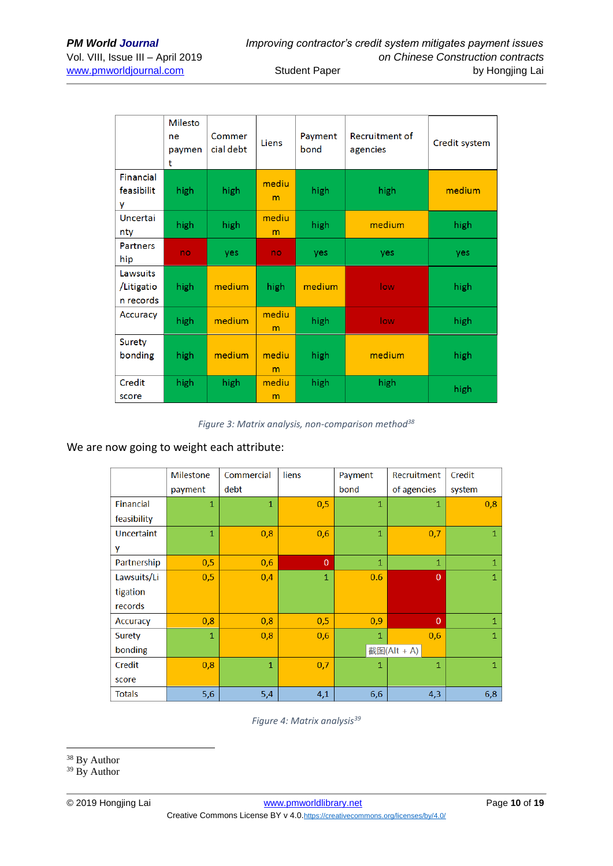|                                     | <b>Milesto</b><br>ne<br>paymen<br>t | Commer<br>cial debt | Liens      | Payment<br>bond | Recruitment of<br>agencies | Credit system |
|-------------------------------------|-------------------------------------|---------------------|------------|-----------------|----------------------------|---------------|
| Financial<br>feasibilit<br>۷        | high                                | high                | mediu<br>m | high            | high                       | medium        |
| <b>Uncertai</b><br>nty              | high                                | high                | mediu<br>m | high            | medium                     | high          |
| <b>Partners</b><br>hip              | no                                  | yes                 | no         | yes             | yes                        | yes           |
| Lawsuits<br>/Litigatio<br>n records | high                                | medium              | high       | medium          | low                        | high          |
| Accuracy                            | high                                | medium              | mediu<br>m | high            | low                        | high          |
| Surety<br>bonding                   | high                                | medium              | mediu<br>m | high            | medium                     | high          |
| Credit<br>score                     | high                                | high                | mediu<br>m | high            | high                       | high          |

*Figure 3: Matrix analysis, non-comparison method<sup>38</sup>*

#### We are now going to weight each attribute:

|               | <b>Milestone</b> | Commercial     | liens        | Payment      | Recruitment    | Credit       |  |
|---------------|------------------|----------------|--------------|--------------|----------------|--------------|--|
|               | payment          | debt           |              | bond         | of agencies    | system       |  |
| Financial     | $\mathbf{1}$     | $\mathbf{1}$   | 0,5          | $\mathbf{1}$ | $\mathbf{1}$   | 0,8          |  |
| feasibility   |                  |                |              |              |                |              |  |
| Uncertaint    | $\mathbf{1}$     | 0,8            | 0,6          | $\mathbf{1}$ | 0,7            | $\mathbf{1}$ |  |
| y             |                  |                |              |              |                |              |  |
| Partnership   | 0,5              | 0,6            | $\mathbf{0}$ | 1            | $\mathbf{1}$   | 1            |  |
| Lawsuits/Li   | 0,5              | 0,4            | $\mathbf{1}$ | 0.6          | $\overline{0}$ | $\mathbf{1}$ |  |
| tigation      |                  |                |              |              |                |              |  |
| records       |                  |                |              |              |                |              |  |
| Accuracy      | 0,8              | 0,8            | 0,5          | 0,9          | $\mathbf{0}$   | $\mathbf{1}$ |  |
| Surety        | $\mathbf{1}$     | 0,8            | 0,6          | $\mathbf{1}$ | 0,6            | $\mathbf{1}$ |  |
| bonding       |                  |                |              |              | 截图(Alt + A)    |              |  |
| Credit        | 0,8              | $\overline{1}$ | 0,7          | $\mathbf{1}$ | $\mathbf{1}$   | $\mathbf{1}$ |  |
| score         |                  |                |              |              |                |              |  |
| <b>Totals</b> | 5,6              | 5,4            | 4,1          | 6,6          | 4,3            | 6,8          |  |

*Figure 4: Matrix analysis<sup>39</sup>*

<u>.</u>

<sup>&</sup>lt;sup>38</sup> By Author

<sup>&</sup>lt;sup>39</sup> By Author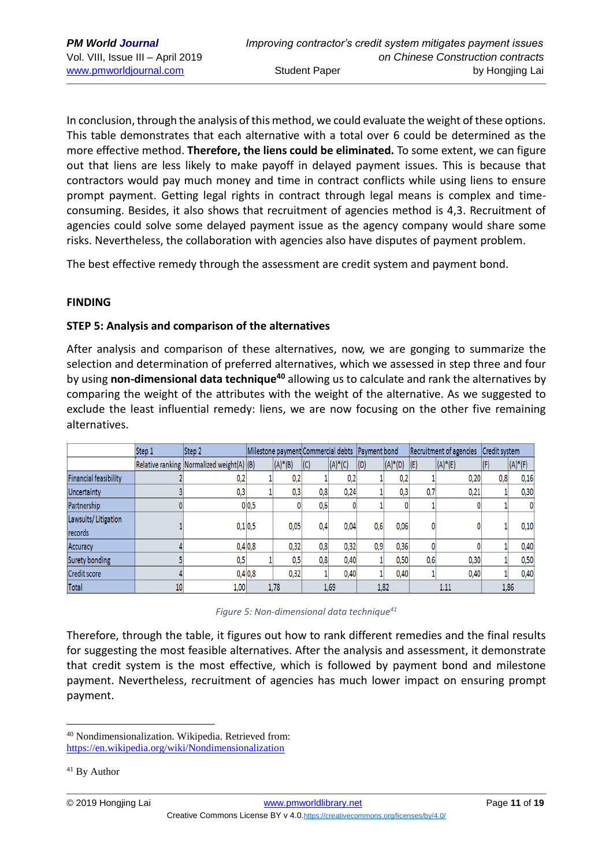In conclusion, through the analysis of this method, we could evaluate the weight of these options. This table demonstrates that each alternative with a total over 6 could be determined as the more effective method. **Therefore, the liens could be eliminated.** To some extent, we can figure out that liens are less likely to make payoff in delayed payment issues. This is because that contractors would pay much money and time in contract conflicts while using liens to ensure prompt payment. Getting legal rights in contract through legal means is complex and timeconsuming. Besides, it also shows that recruitment of agencies method is 4,3. Recruitment of agencies could solve some delayed payment issue as the agency company would share some risks. Nevertheless, the collaboration with agencies also have disputes of payment problem.

The best effective remedy through the assessment are credit system and payment bond.

#### **FINDING**

#### **STEP 5: Analysis and comparison of the alternatives**

After analysis and comparison of these alternatives, now, we are gonging to summarize the selection and determination of preferred alternatives, which we assessed in step three and four by using **non-dimensional data technique<sup>40</sup>** allowing us to calculate and rank the alternatives by comparing the weight of the attributes with the weight of the alternative. As we suggested to exclude the least influential remedy: liens, we are now focusing on the other five remaining alternatives.

|                                       | Step 1 | Step 2                                       | Milestone payment Commercial debts   Payment bond |            |     |            |      |            | Recruitment of agencies |            | Credit system |            |
|---------------------------------------|--------|----------------------------------------------|---------------------------------------------------|------------|-----|------------|------|------------|-------------------------|------------|---------------|------------|
|                                       |        | Relative ranking Normalized weight $(A)$ (B) |                                                   | $(A)^*(B)$ | (C) | $(A)^*(C)$ | (D)  | $(A)^*(D)$ | (E)                     | $(A)^*(E)$ | $\sqrt{}$     | $(A)^*(F)$ |
| <b>Financial feasibility</b>          |        | 0,2                                          |                                                   | 0,2        |     | 0,2        |      | 0,2        |                         | 0,20       | 0,8           | 0,16       |
| Uncertainty                           |        | 0,3                                          |                                                   | 0.3        | 0.8 | 0.24       |      | 0,3        | 0,7                     | 0,21       |               | 0,30       |
| Partnership                           |        |                                              | 0 <sub>0.5</sub>                                  |            | 0,6 |            |      |            |                         |            |               | 0          |
| Lawsuits/Litigation<br><b>records</b> |        | 0.1 0.5                                      |                                                   | 0.05       | 0,4 | 0,04       | 0,6  | 0,06       |                         |            |               | 0,10       |
| Accuracy                              |        |                                              | 0,4 0,8                                           | 0.32       | 0.8 | 0.32       | 0.9  | 0.36       |                         |            |               | 0.40       |
| Surety bonding                        |        | 0.5                                          |                                                   | 0.5        | 0,8 | 0,40       |      | 0,50       | 0,6                     | 0,30       |               | 0,50       |
| <b>Credit score</b>                   |        |                                              | 0,4 0,8                                           | 0,32       |     | 0,40       |      | 0,40       |                         | 0.40       |               | 0,40       |
| Total                                 | 10     | 1,00                                         |                                                   | 1,78       |     | 1,69       | 1,82 |            |                         | 1.11       |               | 1,86       |

*Figure 5: Non-dimensional data technique<sup>41</sup>*

Therefore, through the table, it figures out how to rank different remedies and the final results for suggesting the most feasible alternatives. After the analysis and assessment, it demonstrate that credit system is the most effective, which is followed by payment bond and milestone payment. Nevertheless, recruitment of agencies has much lower impact on ensuring prompt payment.

<sup>40</sup> Nondimensionalization. Wikipedia. Retrieved from: <https://en.wikipedia.org/wiki/Nondimensionalization>

<sup>41</sup> By Author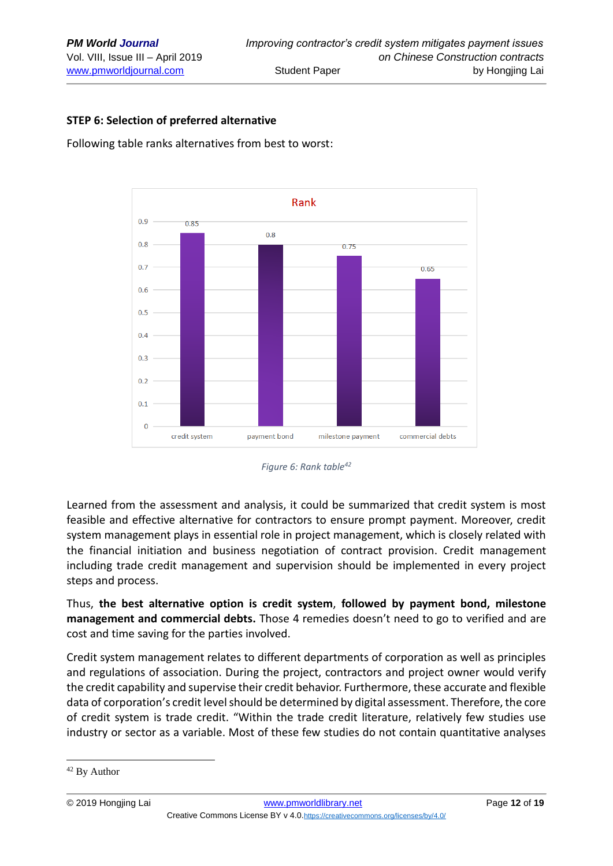### **STEP 6: Selection of preferred alternative**

Following table ranks alternatives from best to worst:



*Figure 6: Rank table<sup>42</sup>*

Learned from the assessment and analysis, it could be summarized that credit system is most feasible and effective alternative for contractors to ensure prompt payment. Moreover, credit system management plays in essential role in project management, which is closely related with the financial initiation and business negotiation of contract provision. Credit management including trade credit management and supervision should be implemented in every project steps and process.

Thus, **the best alternative option is credit system**, **followed by payment bond, milestone management and commercial debts.** Those 4 remedies doesn't need to go to verified and are cost and time saving for the parties involved.

Credit system management relates to different departments of corporation as well as principles and regulations of association. During the project, contractors and project owner would verify the credit capability and supervise their credit behavior. Furthermore, these accurate and flexible data of corporation's credit level should be determined by digital assessment. Therefore, the core of credit system is trade credit. "Within the trade credit literature, relatively few studies use industry or sector as a variable. Most of these few studies do not contain quantitative analyses

<sup>&</sup>lt;sup>42</sup> By Author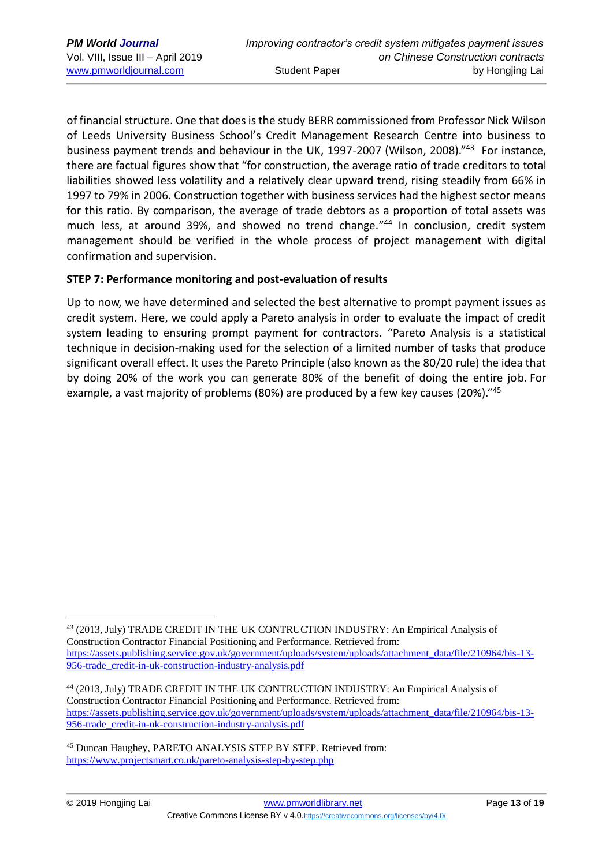of financial structure. One that does is the study BERR commissioned from Professor Nick Wilson of Leeds University Business School's Credit Management Research Centre into business to business payment trends and behaviour in the UK, 1997-2007 (Wilson, 2008)."<sup>43</sup> For instance, there are factual figures show that "for construction, the average ratio of trade creditors to total liabilities showed less volatility and a relatively clear upward trend, rising steadily from 66% in 1997 to 79% in 2006. Construction together with business services had the highest sector means for this ratio. By comparison, the average of trade debtors as a proportion of total assets was much less, at around 39%, and showed no trend change." <sup>44</sup> In conclusion, credit system management should be verified in the whole process of project management with digital confirmation and supervision.

### **STEP 7: Performance monitoring and post-evaluation of results**

Up to now, we have determined and selected the best alternative to prompt payment issues as credit system. Here, we could apply a Pareto analysis in order to evaluate the impact of credit system leading to ensuring prompt payment for contractors. "Pareto Analysis is a statistical technique in decision-making used for the selection of a limited number of tasks that produce significant overall effect. It uses the Pareto Principle (also known as the 80/20 rule) the idea that by doing 20% of the work you can generate 80% of the benefit of doing the entire job. For example, a vast majority of problems (80%) are produced by a few key causes (20%)."<sup>45</sup>

<sup>43</sup> (2013, July) TRADE CREDIT IN THE UK CONTRUCTION INDUSTRY: An Empirical Analysis of Construction Contractor Financial Positioning and Performance. Retrieved from: [https://assets.publishing.service.gov.uk/government/uploads/system/uploads/attachment\\_data/file/210964/bis-13-](https://assets.publishing.service.gov.uk/government/uploads/system/uploads/attachment_data/file/210964/bis-13-956-trade_credit-in-uk-construction-industry-analysis.pdf) [956-trade\\_credit-in-uk-construction-industry-analysis.pdf](https://assets.publishing.service.gov.uk/government/uploads/system/uploads/attachment_data/file/210964/bis-13-956-trade_credit-in-uk-construction-industry-analysis.pdf)

<sup>44</sup> (2013, July) TRADE CREDIT IN THE UK CONTRUCTION INDUSTRY: An Empirical Analysis of Construction Contractor Financial Positioning and Performance. Retrieved from: [https://assets.publishing.service.gov.uk/government/uploads/system/uploads/attachment\\_data/file/210964/bis-13-](https://assets.publishing.service.gov.uk/government/uploads/system/uploads/attachment_data/file/210964/bis-13-956-trade_credit-in-uk-construction-industry-analysis.pdf) [956-trade\\_credit-in-uk-construction-industry-analysis.pdf](https://assets.publishing.service.gov.uk/government/uploads/system/uploads/attachment_data/file/210964/bis-13-956-trade_credit-in-uk-construction-industry-analysis.pdf)

<sup>45</sup> Duncan Haughey, PARETO ANALYSIS STEP BY STEP. Retrieved from: <https://www.projectsmart.co.uk/pareto-analysis-step-by-step.php>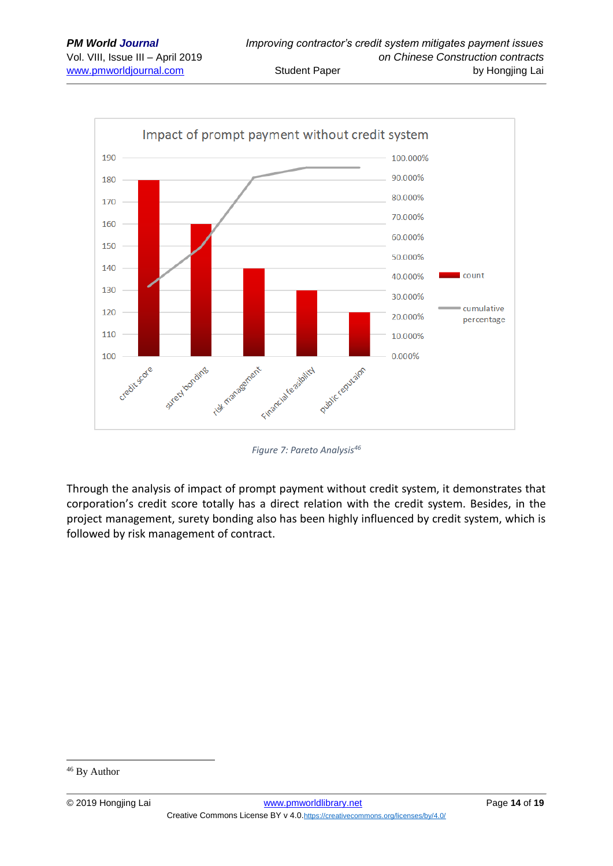

*Figure 7: Pareto Analysis<sup>46</sup>*

Through the analysis of impact of prompt payment without credit system, it demonstrates that corporation's credit score totally has a direct relation with the credit system. Besides, in the project management, surety bonding also has been highly influenced by credit system, which is followed by risk management of contract.

<sup>46</sup> By Author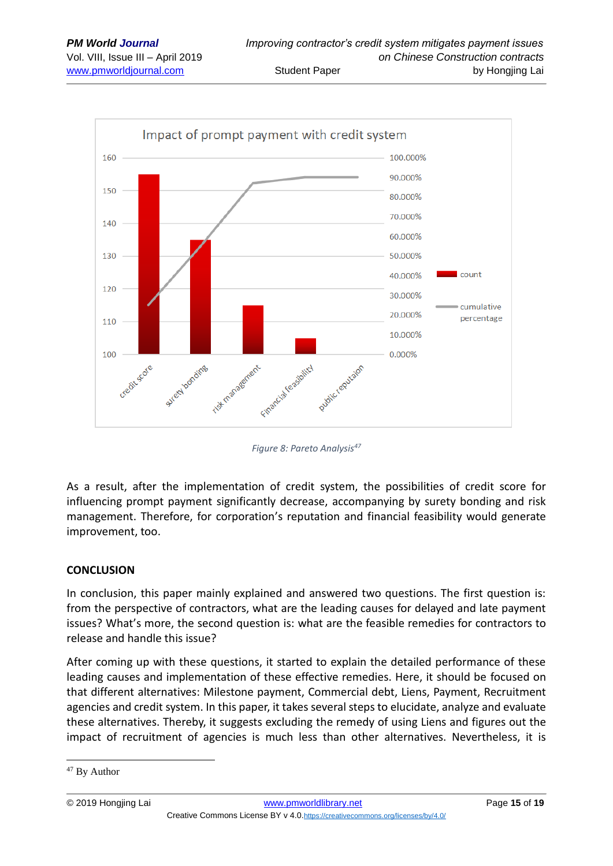

*Figure 8: Pareto Analysis<sup>47</sup>*

As a result, after the implementation of credit system, the possibilities of credit score for influencing prompt payment significantly decrease, accompanying by surety bonding and risk management. Therefore, for corporation's reputation and financial feasibility would generate improvement, too.

#### **CONCLUSION**

In conclusion, this paper mainly explained and answered two questions. The first question is: from the perspective of contractors, what are the leading causes for delayed and late payment issues? What's more, the second question is: what are the feasible remedies for contractors to release and handle this issue?

After coming up with these questions, it started to explain the detailed performance of these leading causes and implementation of these effective remedies. Here, it should be focused on that different alternatives: Milestone payment, Commercial debt, Liens, Payment, Recruitment agencies and credit system. In this paper, it takes several steps to elucidate, analyze and evaluate these alternatives. Thereby, it suggests excluding the remedy of using Liens and figures out the impact of recruitment of agencies is much less than other alternatives. Nevertheless, it is

<sup>&</sup>lt;sup>47</sup> By Author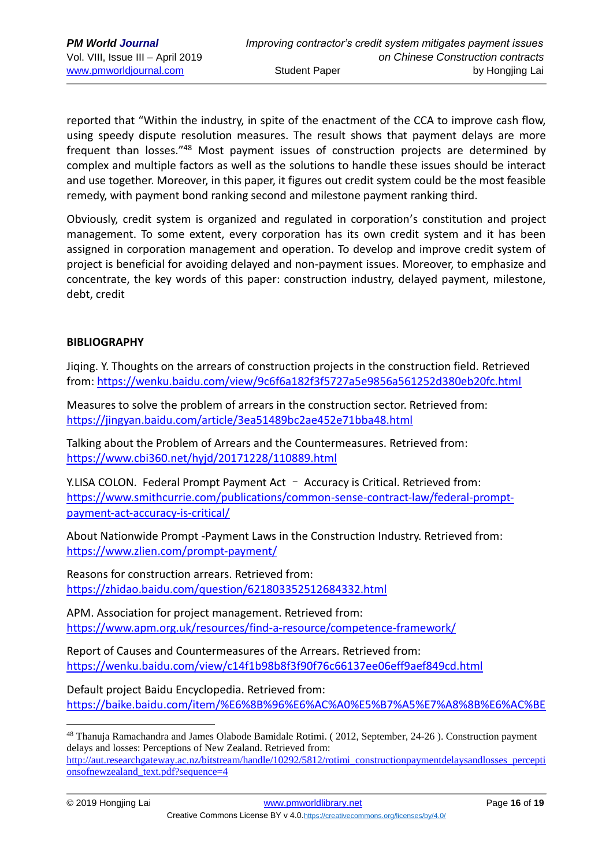reported that "Within the industry, in spite of the enactment of the CCA to improve cash flow, using speedy dispute resolution measures. The result shows that payment delays are more frequent than losses."<sup>48</sup> Most payment issues of construction projects are determined by complex and multiple factors as well as the solutions to handle these issues should be interact and use together. Moreover, in this paper, it figures out credit system could be the most feasible remedy, with payment bond ranking second and milestone payment ranking third.

Obviously, credit system is organized and regulated in corporation's constitution and project management. To some extent, every corporation has its own credit system and it has been assigned in corporation management and operation. To develop and improve credit system of project is beneficial for avoiding delayed and non-payment issues. Moreover, to emphasize and concentrate, the key words of this paper: construction industry, delayed payment, milestone, debt, credit

#### **BIBLIOGRAPHY**

Jiqing. Y. Thoughts on the arrears of construction projects in the construction field. Retrieved from:<https://wenku.baidu.com/view/9c6f6a182f3f5727a5e9856a561252d380eb20fc.html>

Measures to solve the problem of arrears in the construction sector. Retrieved from: <https://jingyan.baidu.com/article/3ea51489bc2ae452e71bba48.html>

Talking about the Problem of Arrears and the Countermeasures. Retrieved from: <https://www.cbi360.net/hyjd/20171228/110889.html>

Y.LISA COLON. Federal Prompt Payment Act – Accuracy is Critical. Retrieved from: [https://www.smithcurrie.com/publications/common-sense-contract-law/federal-prompt](https://www.smithcurrie.com/publications/common-sense-contract-law/federal-prompt-payment-act-accuracy-is-critical/)[payment-act-accuracy-is-critical/](https://www.smithcurrie.com/publications/common-sense-contract-law/federal-prompt-payment-act-accuracy-is-critical/)

About Nationwide Prompt -Payment Laws in the Construction Industry. Retrieved from: <https://www.zlien.com/prompt-payment/>

Reasons for construction arrears. Retrieved from: <https://zhidao.baidu.com/question/621803352512684332.html>

APM. Association for project management. Retrieved from: <https://www.apm.org.uk/resources/find-a-resource/competence-framework/>

Report of Causes and Countermeasures of the Arrears. Retrieved from: <https://wenku.baidu.com/view/c14f1b98b8f3f90f76c66137ee06eff9aef849cd.html>

Default project Baidu Encyclopedia. Retrieved from: [https://baike.baidu.com/item/%E6%8B%96%E6%AC%A0%E5%B7%A5%E7%A8%8B%E6%AC%BE](https://baike.baidu.com/item/%E6%8B%96%E6%AC%A0%E5%B7%A5%E7%A8%8B%E6%AC%BE/8587656?fr=aladdin)

<sup>48</sup> Thanuja Ramachandra and James Olabode Bamidale Rotimi. ( 2012, September, 24-26 ). Construction payment delays and losses: Perceptions of New Zealand. Retrieved from:

[http://aut.researchgateway.ac.nz/bitstream/handle/10292/5812/rotimi\\_constructionpaymentdelaysandlosses\\_percepti](http://aut.researchgateway.ac.nz/bitstream/handle/10292/5812/rotimi_constructionpaymentdelaysandlosses_perceptionsofnewzealand_text.pdf?sequence=4) [onsofnewzealand\\_text.pdf?sequence=4](http://aut.researchgateway.ac.nz/bitstream/handle/10292/5812/rotimi_constructionpaymentdelaysandlosses_perceptionsofnewzealand_text.pdf?sequence=4)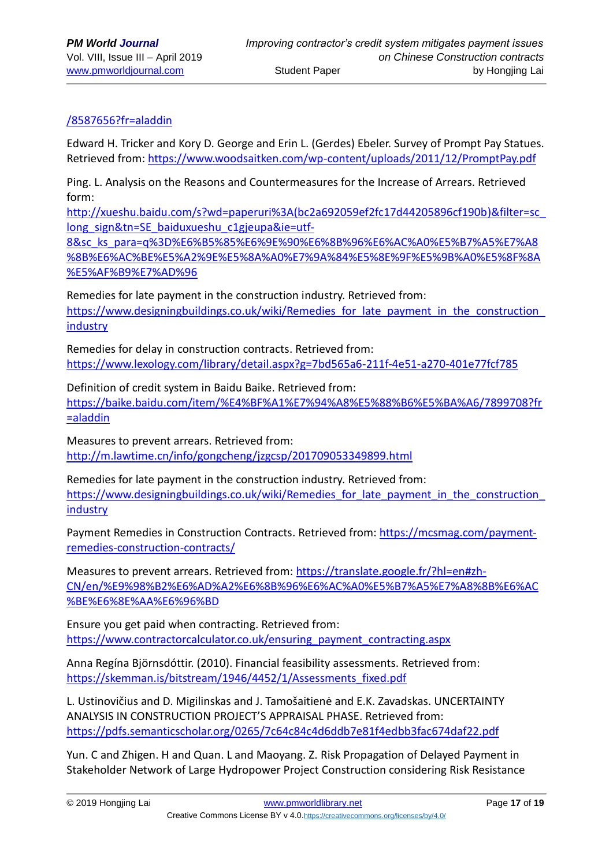# [/8587656?fr=aladdin](https://baike.baidu.com/item/%E6%8B%96%E6%AC%A0%E5%B7%A5%E7%A8%8B%E6%AC%BE/8587656?fr=aladdin)

Edward H. Tricker and Kory D. George and Erin L. (Gerdes) Ebeler. Survey of Prompt Pay Statues. Retrieved from: <https://www.woodsaitken.com/wp-content/uploads/2011/12/PromptPay.pdf>

Ping. L. Analysis on the Reasons and Countermeasures for the Increase of Arrears. Retrieved form:

http://xueshu.baidu.com/s?wd=paperuri%3A(bc2a692059ef2fc17d44205896cf190b)&filter=sc\_ long\_sign&tn=SE\_baiduxueshu\_c1gjeupa&ie=utf-

8&sc\_ks\_para=q%3D%E6%B5%85%E6%9E%90%E6%8B%96%E6%AC%A0%E5%B7%A5%E7%A8 %8B%E6%AC%BE%E5%A2%9E%E5%8A%A0%E7%9A%84%E5%8E%9F%E5%9B%A0%E5%8F%8A %E5%AF%B9%E7%AD%96

Remedies for late payment in the construction industry. Retrieved from: https://www.designingbuildings.co.uk/wiki/Remedies for late payment in the construction [industry](https://www.designingbuildings.co.uk/wiki/Remedies_for_late_payment_in_the_construction_industry)

Remedies for delay in construction contracts. Retrieved from: <https://www.lexology.com/library/detail.aspx?g=7bd565a6-211f-4e51-a270-401e77fcf785>

Definition of credit system in Baidu Baike. Retrieved from: [https://baike.baidu.com/item/%E4%BF%A1%E7%94%A8%E5%88%B6%E5%BA%A6/7899708?fr](https://baike.baidu.com/item/%E4%BF%A1%E7%94%A8%E5%88%B6%E5%BA%A6/7899708?fr=aladdin) [=aladdin](https://baike.baidu.com/item/%E4%BF%A1%E7%94%A8%E5%88%B6%E5%BA%A6/7899708?fr=aladdin)

Measures to prevent arrears. Retrieved from: <http://m.lawtime.cn/info/gongcheng/jzgcsp/201709053349899.html>

Remedies for late payment in the construction industry. Retrieved from: https://www.designingbuildings.co.uk/wiki/Remedies for late payment in the construction **[industry](https://www.designingbuildings.co.uk/wiki/Remedies_for_late_payment_in_the_construction_industry)** 

Payment Remedies in Construction Contracts. Retrieved from: [https://mcsmag.com/payment](https://mcsmag.com/payment-remedies-construction-contracts/)[remedies-construction-contracts/](https://mcsmag.com/payment-remedies-construction-contracts/)

Measures to prevent arrears. Retrieved from: [https://translate.google.fr/?hl=en#zh-](https://translate.google.fr/?hl=en#zh-CN/en/%E9%98%B2%E6%AD%A2%E6%8B%96%E6%AC%A0%E5%B7%A5%E7%A8%8B%E6%AC%BE%E6%8E%AA%E6%96%BD)[CN/en/%E9%98%B2%E6%AD%A2%E6%8B%96%E6%AC%A0%E5%B7%A5%E7%A8%8B%E6%AC](https://translate.google.fr/?hl=en#zh-CN/en/%E9%98%B2%E6%AD%A2%E6%8B%96%E6%AC%A0%E5%B7%A5%E7%A8%8B%E6%AC%BE%E6%8E%AA%E6%96%BD) [%BE%E6%8E%AA%E6%96%BD](https://translate.google.fr/?hl=en#zh-CN/en/%E9%98%B2%E6%AD%A2%E6%8B%96%E6%AC%A0%E5%B7%A5%E7%A8%8B%E6%AC%BE%E6%8E%AA%E6%96%BD)

Ensure you get paid when contracting. Retrieved from: [https://www.contractorcalculator.co.uk/ensuring\\_payment\\_contracting.aspx](https://www.contractorcalculator.co.uk/ensuring_payment_contracting.aspx)

Anna Regína Björnsdóttir. (2010). Financial feasibility assessments. Retrieved from: [https://skemman.is/bitstream/1946/4452/1/Assessments\\_fixed.pdf](https://skemman.is/bitstream/1946/4452/1/Assessments_fixed.pdf)

L. Ustinovičius and D. Migilinskas and J. Tamošaitienė and E.K. Zavadskas. UNCERTAINTY ANALYSIS IN CONSTRUCTION PROJECT'S APPRAISAL PHASE. Retrieved from: <https://pdfs.semanticscholar.org/0265/7c64c84c4d6ddb7e81f4edbb3fac674daf22.pdf>

Yun. C and Zhigen. H and Quan. L and Maoyang. Z. Risk Propagation of Delayed Payment in Stakeholder Network of Large Hydropower Project Construction considering Risk Resistance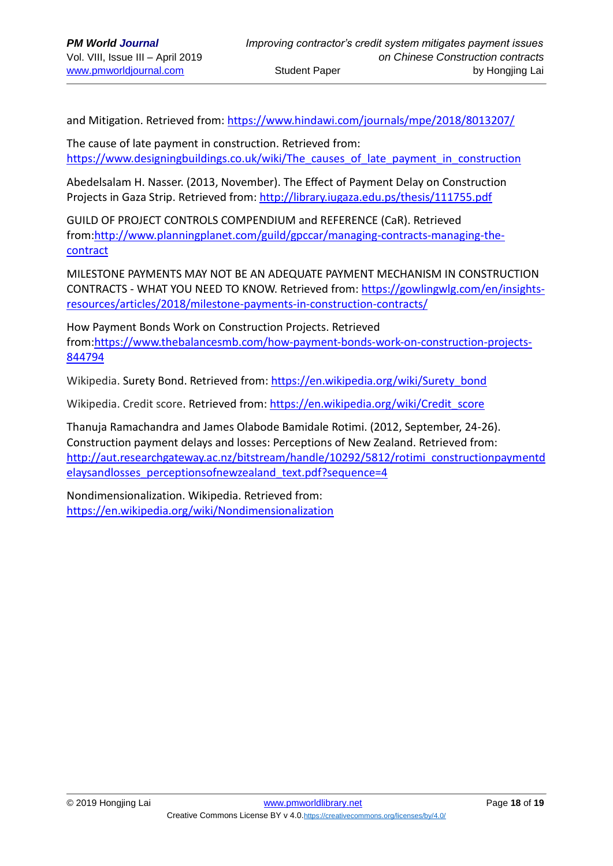and Mitigation. Retrieved from: <https://www.hindawi.com/journals/mpe/2018/8013207/>

The cause of late payment in construction. Retrieved from: [https://www.designingbuildings.co.uk/wiki/The\\_causes\\_of\\_late\\_payment\\_in\\_construction](https://www.designingbuildings.co.uk/wiki/The_causes_of_late_payment_in_construction)

Abedelsalam H. Nasser. (2013, November). The Effect of Payment Delay on Construction Projects in Gaza Strip. Retrieved from: <http://library.iugaza.edu.ps/thesis/111755.pdf>

GUILD OF PROJECT CONTROLS COMPENDIUM and REFERENCE (CaR). Retrieved from[:http://www.planningplanet.com/guild/gpccar/managing-contracts-managing-the](http://www.planningplanet.com/guild/gpccar/managing-contracts-managing-the-contract)[contract](http://www.planningplanet.com/guild/gpccar/managing-contracts-managing-the-contract)

MILESTONE PAYMENTS MAY NOT BE AN ADEQUATE PAYMENT MECHANISM IN CONSTRUCTION CONTRACTS - WHAT YOU NEED TO KNOW. Retrieved from: [https://gowlingwlg.com/en/insights](https://gowlingwlg.com/en/insights-resources/articles/2018/milestone-payments-in-construction-contracts/)[resources/articles/2018/milestone-payments-in-construction-contracts/](https://gowlingwlg.com/en/insights-resources/articles/2018/milestone-payments-in-construction-contracts/)

How Payment Bonds Work on Construction Projects. Retrieved from[:https://www.thebalancesmb.com/how-payment-bonds-work-on-construction-projects-](https://www.thebalancesmb.com/how-payment-bonds-work-on-construction-projects-844794)[844794](https://www.thebalancesmb.com/how-payment-bonds-work-on-construction-projects-844794)

Wikipedia. Surety Bond. Retrieved from: [https://en.wikipedia.org/wiki/Surety\\_bond](https://en.wikipedia.org/wiki/Surety_bond)

Wikipedia. Credit score. Retrieved from: [https://en.wikipedia.org/wiki/Credit\\_score](https://en.wikipedia.org/wiki/Credit_score)

Thanuja Ramachandra and James Olabode Bamidale Rotimi. (2012, September, 24-26). Construction payment delays and losses: Perceptions of New Zealand. Retrieved from: [http://aut.researchgateway.ac.nz/bitstream/handle/10292/5812/rotimi\\_constructionpaymentd](http://aut.researchgateway.ac.nz/bitstream/handle/10292/5812/rotimi_constructionpaymentdelaysandlosses_perceptionsofnewzealand_text.pdf?sequence=4) [elaysandlosses\\_perceptionsofnewzealand\\_text.pdf?sequence=4](http://aut.researchgateway.ac.nz/bitstream/handle/10292/5812/rotimi_constructionpaymentdelaysandlosses_perceptionsofnewzealand_text.pdf?sequence=4)

Nondimensionalization. Wikipedia. Retrieved from: <https://en.wikipedia.org/wiki/Nondimensionalization>